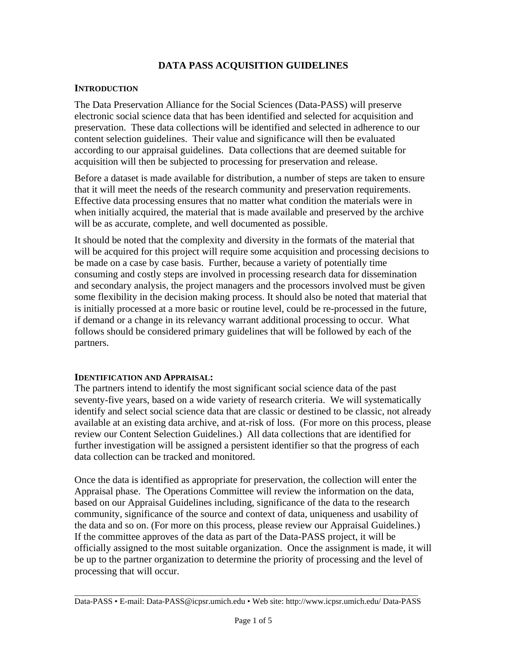# **DATA PASS ACQUISITION GUIDELINES**

#### **INTRODUCTION**

The Data Preservation Alliance for the Social Sciences (Data-PASS) will preserve electronic social science data that has been identified and selected for acquisition and preservation. These data collections will be identified and selected in adherence to our content selection guidelines. Their value and significance will then be evaluated according to our appraisal guidelines. Data collections that are deemed suitable for acquisition will then be subjected to processing for preservation and release.

Before a dataset is made available for distribution, a number of steps are taken to ensure that it will meet the needs of the research community and preservation requirements. Effective data processing ensures that no matter what condition the materials were in when initially acquired, the material that is made available and preserved by the archive will be as accurate, complete, and well documented as possible.

It should be noted that the complexity and diversity in the formats of the material that will be acquired for this project will require some acquisition and processing decisions to be made on a case by case basis. Further, because a variety of potentially time consuming and costly steps are involved in processing research data for dissemination and secondary analysis, the project managers and the processors involved must be given some flexibility in the decision making process. It should also be noted that material that is initially processed at a more basic or routine level, could be re-processed in the future, if demand or a change in its relevancy warrant additional processing to occur. What follows should be considered primary guidelines that will be followed by each of the partners.

#### **IDENTIFICATION AND APPRAISAL:**

The partners intend to identify the most significant social science data of the past seventy-five years, based on a wide variety of research criteria. We will systematically identify and select social science data that are classic or destined to be classic, not already available at an existing data archive, and at-risk of loss. (For more on this process, please review our Content Selection Guidelines.) All data collections that are identified for further investigation will be assigned a persistent identifier so that the progress of each data collection can be tracked and monitored.

Once the data is identified as appropriate for preservation, the collection will enter the Appraisal phase. The Operations Committee will review the information on the data, based on our Appraisal Guidelines including, significance of the data to the research community, significance of the source and context of data, uniqueness and usability of the data and so on. (For more on this process, please review our Appraisal Guidelines.) If the committee approves of the data as part of the Data-PASS project, it will be officially assigned to the most suitable organization. Once the assignment is made, it will be up to the partner organization to determine the priority of processing and the level of processing that will occur.

\_\_\_\_\_\_\_\_\_\_\_\_\_\_\_\_\_\_\_\_\_\_\_\_\_\_\_\_\_\_\_\_\_\_\_\_\_\_\_\_\_\_\_\_\_\_\_\_\_\_\_\_\_\_\_\_\_\_\_\_\_\_\_\_\_\_\_\_\_\_\_\_\_\_\_\_\_\_\_\_\_\_\_ Data-PASS • E-mail: Data-PASS@icpsr.umich.edu • Web site: http://www.icpsr.umich.edu/ Data-PASS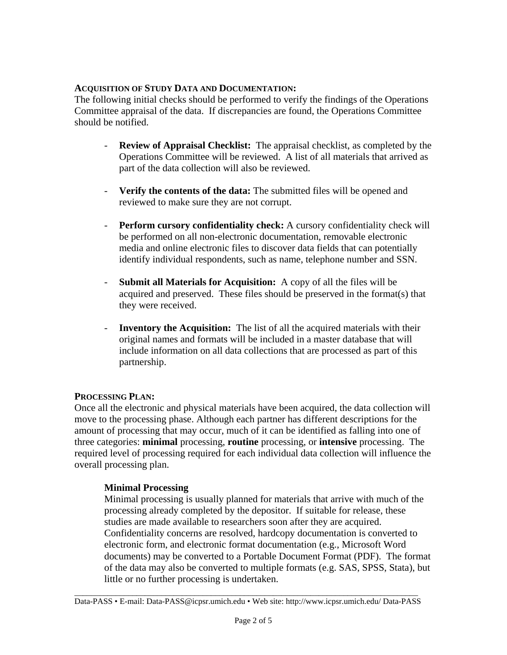### **ACQUISITION OF STUDY DATA AND DOCUMENTATION:**

The following initial checks should be performed to verify the findings of the Operations Committee appraisal of the data. If discrepancies are found, the Operations Committee should be notified.

- **Review of Appraisal Checklist:** The appraisal checklist, as completed by the Operations Committee will be reviewed. A list of all materials that arrived as part of the data collection will also be reviewed.
- **Verify the contents of the data:** The submitted files will be opened and reviewed to make sure they are not corrupt.
- **Perform cursory confidentiality check:** A cursory confidentiality check will be performed on all non-electronic documentation, removable electronic media and online electronic files to discover data fields that can potentially identify individual respondents, such as name, telephone number and SSN.
- **Submit all Materials for Acquisition:** A copy of all the files will be acquired and preserved. These files should be preserved in the format(s) that they were received.
- **Inventory the Acquisition:** The list of all the acquired materials with their original names and formats will be included in a master database that will include information on all data collections that are processed as part of this partnership.

## **PROCESSING PLAN:**

Once all the electronic and physical materials have been acquired, the data collection will move to the processing phase. Although each partner has different descriptions for the amount of processing that may occur, much of it can be identified as falling into one of three categories: **minimal** processing, **routine** processing, or **intensive** processing. The required level of processing required for each individual data collection will influence the overall processing plan.

## **Minimal Processing**

Minimal processing is usually planned for materials that arrive with much of the processing already completed by the depositor. If suitable for release, these studies are made available to researchers soon after they are acquired. Confidentiality concerns are resolved, hardcopy documentation is converted to electronic form, and electronic format documentation (e.g., Microsoft Word documents) may be converted to a Portable Document Format (PDF). The format of the data may also be converted to multiple formats (e.g. SAS, SPSS, Stata), but little or no further processing is undertaken.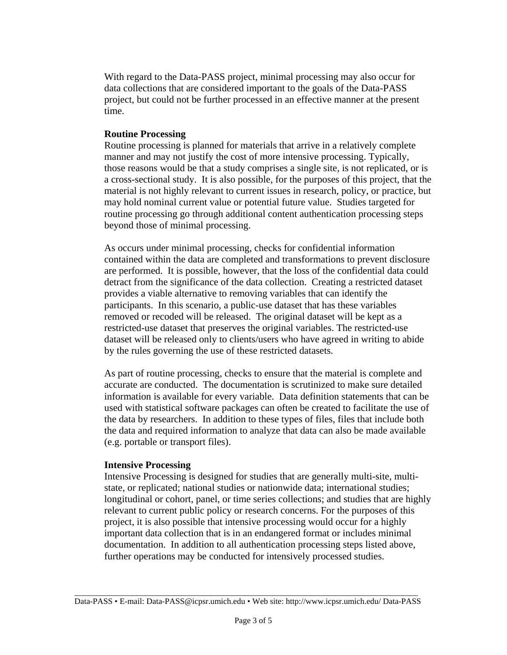With regard to the Data-PASS project, minimal processing may also occur for data collections that are considered important to the goals of the Data-PASS project, but could not be further processed in an effective manner at the present time.

#### **Routine Processing**

Routine processing is planned for materials that arrive in a relatively complete manner and may not justify the cost of more intensive processing. Typically, those reasons would be that a study comprises a single site, is not replicated, or is a cross-sectional study. It is also possible, for the purposes of this project, that the material is not highly relevant to current issues in research, policy, or practice, but may hold nominal current value or potential future value. Studies targeted for routine processing go through additional content authentication processing steps beyond those of minimal processing.

As occurs under minimal processing, checks for confidential information contained within the data are completed and transformations to prevent disclosure are performed. It is possible, however, that the loss of the confidential data could detract from the significance of the data collection. Creating a restricted dataset provides a viable alternative to removing variables that can identify the participants. In this scenario, a public-use dataset that has these variables removed or recoded will be released. The original dataset will be kept as a restricted-use dataset that preserves the original variables. The restricted-use dataset will be released only to clients/users who have agreed in writing to abide by the rules governing the use of these restricted datasets.

As part of routine processing, checks to ensure that the material is complete and accurate are conducted. The documentation is scrutinized to make sure detailed information is available for every variable. Data definition statements that can be used with statistical software packages can often be created to facilitate the use of the data by researchers. In addition to these types of files, files that include both the data and required information to analyze that data can also be made available (e.g. portable or transport files).

#### **Intensive Processing**

Intensive Processing is designed for studies that are generally multi-site, multistate, or replicated; national studies or nationwide data; international studies; longitudinal or cohort, panel, or time series collections; and studies that are highly relevant to current public policy or research concerns. For the purposes of this project, it is also possible that intensive processing would occur for a highly important data collection that is in an endangered format or includes minimal documentation. In addition to all authentication processing steps listed above, further operations may be conducted for intensively processed studies.

\_\_\_\_\_\_\_\_\_\_\_\_\_\_\_\_\_\_\_\_\_\_\_\_\_\_\_\_\_\_\_\_\_\_\_\_\_\_\_\_\_\_\_\_\_\_\_\_\_\_\_\_\_\_\_\_\_\_\_\_\_\_\_\_\_\_\_\_\_\_\_\_\_\_\_\_\_\_\_\_\_\_\_ Data-PASS • E-mail: Data-PASS@icpsr.umich.edu • Web site: http://www.icpsr.umich.edu/ Data-PASS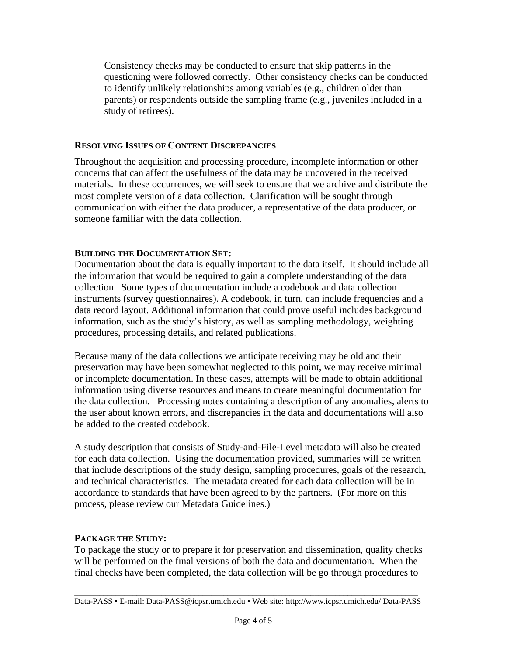Consistency checks may be conducted to ensure that skip patterns in the questioning were followed correctly. Other consistency checks can be conducted to identify unlikely relationships among variables (e.g., children older than parents) or respondents outside the sampling frame (e.g., juveniles included in a study of retirees).

### **RESOLVING ISSUES OF CONTENT DISCREPANCIES**

Throughout the acquisition and processing procedure, incomplete information or other concerns that can affect the usefulness of the data may be uncovered in the received materials. In these occurrences, we will seek to ensure that we archive and distribute the most complete version of a data collection. Clarification will be sought through communication with either the data producer, a representative of the data producer, or someone familiar with the data collection.

#### **BUILDING THE DOCUMENTATION SET:**

Documentation about the data is equally important to the data itself. It should include all the information that would be required to gain a complete understanding of the data collection. Some types of documentation include a codebook and data collection instruments (survey questionnaires). A codebook, in turn, can include frequencies and a data record layout. Additional information that could prove useful includes background information, such as the study's history, as well as sampling methodology, weighting procedures, processing details, and related publications.

Because many of the data collections we anticipate receiving may be old and their preservation may have been somewhat neglected to this point, we may receive minimal or incomplete documentation. In these cases, attempts will be made to obtain additional information using diverse resources and means to create meaningful documentation for the data collection. Processing notes containing a description of any anomalies, alerts to the user about known errors, and discrepancies in the data and documentations will also be added to the created codebook.

A study description that consists of Study-and-File-Level metadata will also be created for each data collection. Using the documentation provided, summaries will be written that include descriptions of the study design, sampling procedures, goals of the research, and technical characteristics. The metadata created for each data collection will be in accordance to standards that have been agreed to by the partners. (For more on this process, please review our Metadata Guidelines.)

#### **PACKAGE THE STUDY:**

To package the study or to prepare it for preservation and dissemination, quality checks will be performed on the final versions of both the data and documentation. When the final checks have been completed, the data collection will be go through procedures to